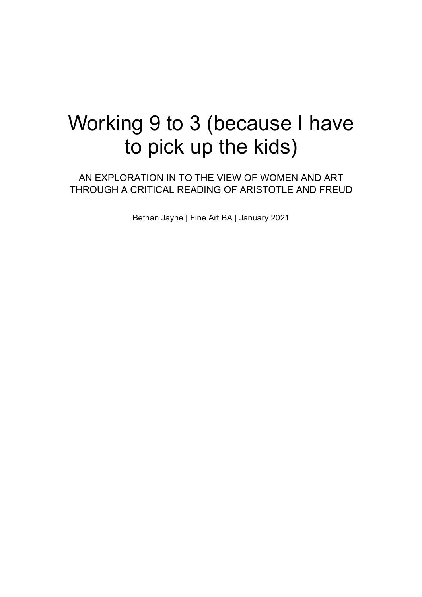# Working 9 to 3 (because I have to pick up the kids)

AN EXPLORATION IN TO THE VIEW OF WOMEN AND ART THROUGH A CRITICAL READING OF ARISTOTLE AND FREUD

Bethan Jayne | Fine Art BA | January 2021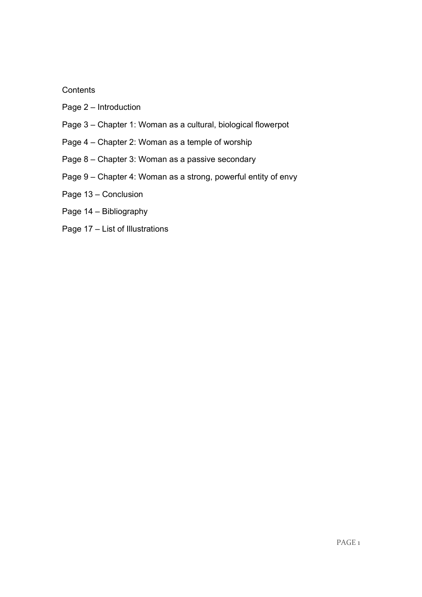# **Contents**

- Page 2 Introduction
- Page 3 Chapter 1: Woman as a cultural, biological flowerpot
- Page 4 Chapter 2: Woman as a temple of worship
- Page 8 Chapter 3: Woman as a passive secondary
- Page 9 Chapter 4: Woman as a strong, powerful entity of envy
- Page 13 Conclusion
- Page 14 Bibliography
- Page 17 List of Illustrations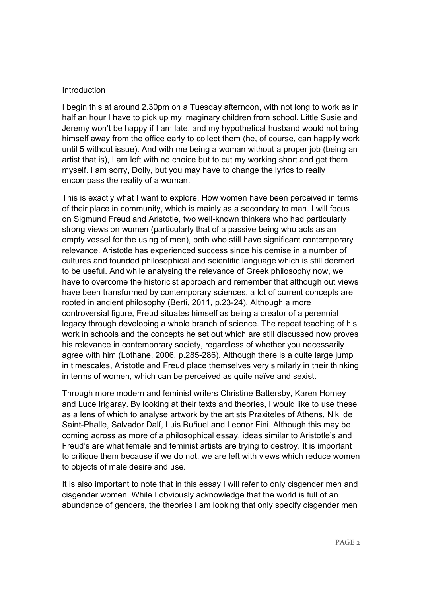## Introduction

I begin this at around 2.30pm on a Tuesday afternoon, with not long to work as in half an hour I have to pick up my imaginary children from school. Little Susie and Jeremy won't be happy if I am late, and my hypothetical husband would not bring himself away from the office early to collect them (he, of course, can happily work until 5 without issue). And with me being a woman without a proper job (being an artist that is), I am left with no choice but to cut my working short and get them myself. I am sorry, Dolly, but you may have to change the lyrics to really encompass the reality of a woman.

This is exactly what I want to explore. How women have been perceived in terms of their place in community, which is mainly as a secondary to man. I will focus on Sigmund Freud and Aristotle, two well-known thinkers who had particularly strong views on women (particularly that of a passive being who acts as an empty vessel for the using of men), both who still have significant contemporary relevance. Aristotle has experienced success since his demise in a number of cultures and founded philosophical and scientific language which is still deemed to be useful. And while analysing the relevance of Greek philosophy now, we have to overcome the historicist approach and remember that although out views have been transformed by contemporary sciences, a lot of current concepts are rooted in ancient philosophy (Berti, 2011, p.23-24). Although a more controversial figure, Freud situates himself as being a creator of a perennial legacy through developing a whole branch of science. The repeat teaching of his work in schools and the concepts he set out which are still discussed now proves his relevance in contemporary society, regardless of whether you necessarily agree with him (Lothane, 2006, p.285-286). Although there is a quite large jump in timescales, Aristotle and Freud place themselves very similarly in their thinking in terms of women, which can be perceived as quite naïve and sexist.

Through more modern and feminist writers Christine Battersby, Karen Horney and Luce Irigaray. By looking at their texts and theories, I would like to use these as a lens of which to analyse artwork by the artists Praxiteles of Athens, Niki de Saint-Phalle, Salvador Dalí, Luis Buñuel and Leonor Fini. Although this may be coming across as more of a philosophical essay, ideas similar to Aristotle's and Freud's are what female and feminist artists are trying to destroy. It is important to critique them because if we do not, we are left with views which reduce women to objects of male desire and use.

It is also important to note that in this essay I will refer to only cisgender men and cisgender women. While I obviously acknowledge that the world is full of an abundance of genders, the theories I am looking that only specify cisgender men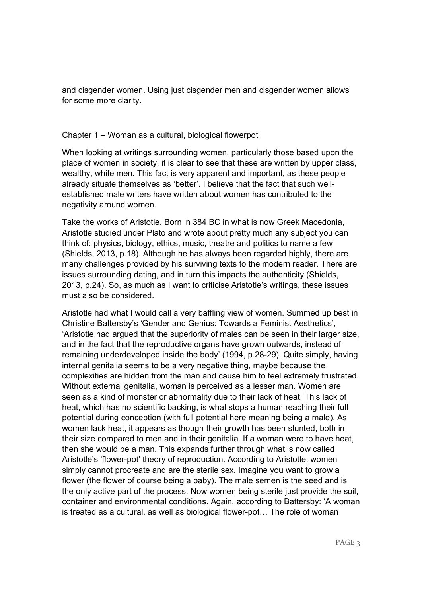and cisgender women. Using just cisgender men and cisgender women allows for some more clarity.

#### Chapter 1 – Woman as a cultural, biological flowerpot

When looking at writings surrounding women, particularly those based upon the place of women in society, it is clear to see that these are written by upper class, wealthy, white men. This fact is very apparent and important, as these people already situate themselves as 'better'. I believe that the fact that such wellestablished male writers have written about women has contributed to the negativity around women.

Take the works of Aristotle. Born in 384 BC in what is now Greek Macedonia, Aristotle studied under Plato and wrote about pretty much any subject you can think of: physics, biology, ethics, music, theatre and politics to name a few (Shields, 2013, p.18). Although he has always been regarded highly, there are many challenges provided by his surviving texts to the modern reader. There are issues surrounding dating, and in turn this impacts the authenticity (Shields, 2013, p.24). So, as much as I want to criticise Aristotle's writings, these issues must also be considered.

Aristotle had what I would call a very baffling view of women. Summed up best in Christine Battersby's 'Gender and Genius: Towards a Feminist Aesthetics', 'Aristotle had argued that the superiority of males can be seen in their larger size, and in the fact that the reproductive organs have grown outwards, instead of remaining underdeveloped inside the body' (1994, p.28-29). Quite simply, having internal genitalia seems to be a very negative thing, maybe because the complexities are hidden from the man and cause him to feel extremely frustrated. Without external genitalia, woman is perceived as a lesser man. Women are seen as a kind of monster or abnormality due to their lack of heat. This lack of heat, which has no scientific backing, is what stops a human reaching their full potential during conception (with full potential here meaning being a male). As women lack heat, it appears as though their growth has been stunted, both in their size compared to men and in their genitalia. If a woman were to have heat, then she would be a man. This expands further through what is now called Aristotle's 'flower-pot' theory of reproduction. According to Aristotle, women simply cannot procreate and are the sterile sex. Imagine you want to grow a flower (the flower of course being a baby). The male semen is the seed and is the only active part of the process. Now women being sterile just provide the soil, container and environmental conditions. Again, according to Battersby: 'A woman is treated as a cultural, as well as biological flower-pot… The role of woman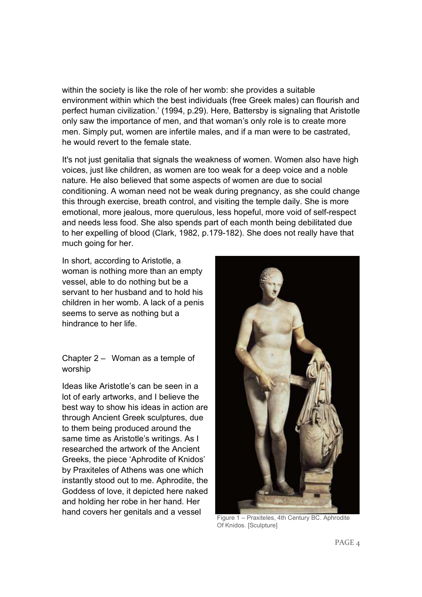within the society is like the role of her womb: she provides a suitable environment within which the best individuals (free Greek males) can flourish and perfect human civilization.' (1994, p.29). Here, Battersby is signaling that Aristotle only saw the importance of men, and that woman's only role is to create more men. Simply put, women are infertile males, and if a man were to be castrated, he would revert to the female state.

It's not just genitalia that signals the weakness of women. Women also have high voices, just like children, as women are too weak for a deep voice and a noble nature. He also believed that some aspects of women are due to social conditioning. A woman need not be weak during pregnancy, as she could change this through exercise, breath control, and visiting the temple daily. She is more emotional, more jealous, more querulous, less hopeful, more void of self-respect and needs less food. She also spends part of each month being debilitated due to her expelling of blood (Clark, 1982, p.179-182). She does not really have that much going for her.

In short, according to Aristotle, a woman is nothing more than an empty vessel, able to do nothing but be a servant to her husband and to hold his children in her womb. A lack of a penis seems to serve as nothing but a hindrance to her life.

Chapter 2 – Woman as a temple of worship

Ideas like Aristotle's can be seen in a lot of early artworks, and I believe the best way to show his ideas in action are through Ancient Greek sculptures, due to them being produced around the same time as Aristotle's writings. As I researched the artwork of the Ancient Greeks, the piece 'Aphrodite of Knidos' by Praxiteles of Athens was one which instantly stood out to me. Aphrodite, the Goddess of love, it depicted here naked and holding her robe in her hand. Her hand covers her genitals and a vessel



Figure 1 – Praxiteles, 4th Century BC. Aphrodite Of Knidos. [Sculpture]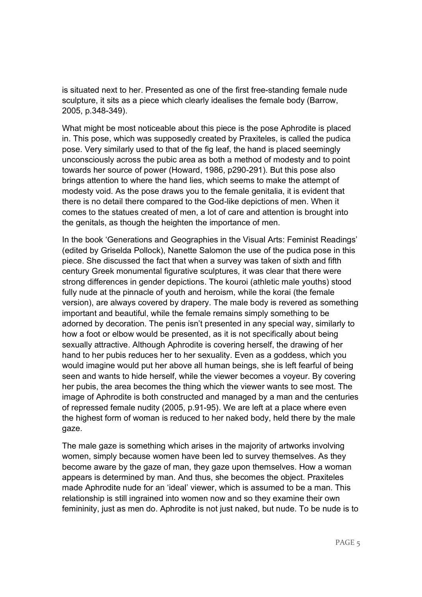is situated next to her. Presented as one of the first free-standing female nude sculpture, it sits as a piece which clearly idealises the female body (Barrow, 2005, p.348-349).

What might be most noticeable about this piece is the pose Aphrodite is placed in. This pose, which was supposedly created by Praxiteles, is called the pudica pose. Very similarly used to that of the fig leaf, the hand is placed seemingly unconsciously across the pubic area as both a method of modesty and to point towards her source of power (Howard, 1986, p290-291). But this pose also brings attention to where the hand lies, which seems to make the attempt of modesty void. As the pose draws you to the female genitalia, it is evident that there is no detail there compared to the God-like depictions of men. When it comes to the statues created of men, a lot of care and attention is brought into the genitals, as though the heighten the importance of men.

In the book 'Generations and Geographies in the Visual Arts: Feminist Readings' (edited by Griselda Pollock), Nanette Salomon the use of the pudica pose in this piece. She discussed the fact that when a survey was taken of sixth and fifth century Greek monumental figurative sculptures, it was clear that there were strong differences in gender depictions. The kouroi (athletic male youths) stood fully nude at the pinnacle of youth and heroism, while the korai (the female version), are always covered by drapery. The male body is revered as something important and beautiful, while the female remains simply something to be adorned by decoration. The penis isn't presented in any special way, similarly to how a foot or elbow would be presented, as it is not specifically about being sexually attractive. Although Aphrodite is covering herself, the drawing of her hand to her pubis reduces her to her sexuality. Even as a goddess, which you would imagine would put her above all human beings, she is left fearful of being seen and wants to hide herself, while the viewer becomes a voyeur. By covering her pubis, the area becomes the thing which the viewer wants to see most. The image of Aphrodite is both constructed and managed by a man and the centuries of repressed female nudity (2005, p.91-95). We are left at a place where even the highest form of woman is reduced to her naked body, held there by the male gaze.

The male gaze is something which arises in the majority of artworks involving women, simply because women have been led to survey themselves. As they become aware by the gaze of man, they gaze upon themselves. How a woman appears is determined by man. And thus, she becomes the object. Praxiteles made Aphrodite nude for an 'ideal' viewer, which is assumed to be a man. This relationship is still ingrained into women now and so they examine their own femininity, just as men do. Aphrodite is not just naked, but nude. To be nude is to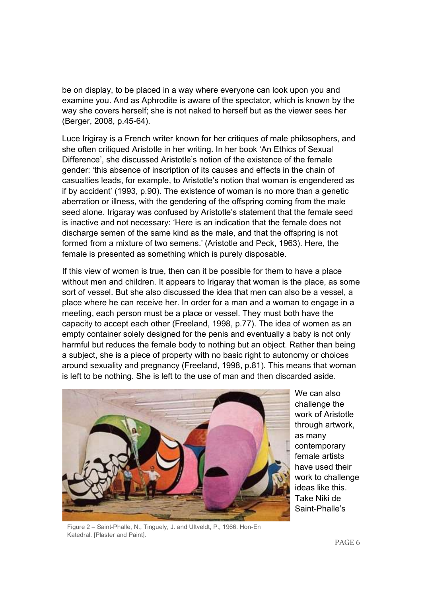be on display, to be placed in a way where everyone can look upon you and examine you. And as Aphrodite is aware of the spectator, which is known by the way she covers herself; she is not naked to herself but as the viewer sees her (Berger, 2008, p.45-64).

Luce Irigiray is a French writer known for her critiques of male philosophers, and she often critiqued Aristotle in her writing. In her book 'An Ethics of Sexual Difference', she discussed Aristotle's notion of the existence of the female gender: 'this absence of inscription of its causes and effects in the chain of casualties leads, for example, to Aristotle's notion that woman is engendered as if by accident' (1993, p.90). The existence of woman is no more than a genetic aberration or illness, with the gendering of the offspring coming from the male seed alone. Irigaray was confused by Aristotle's statement that the female seed is inactive and not necessary: 'Here is an indication that the female does not discharge semen of the same kind as the male, and that the offspring is not formed from a mixture of two semens.' (Aristotle and Peck, 1963). Here, the female is presented as something which is purely disposable.

If this view of women is true, then can it be possible for them to have a place without men and children. It appears to Irigaray that woman is the place, as some sort of vessel. But she also discussed the idea that men can also be a vessel, a place where he can receive her. In order for a man and a woman to engage in a meeting, each person must be a place or vessel. They must both have the capacity to accept each other (Freeland, 1998, p.77). The idea of women as an empty container solely designed for the penis and eventually a baby is not only harmful but reduces the female body to nothing but an object. Rather than being a subject, she is a piece of property with no basic right to autonomy or choices around sexuality and pregnancy (Freeland, 1998, p.81). This means that woman is left to be nothing. She is left to the use of man and then discarded aside.



We can also challenge the work of Aristotle through artwork, as many contemporary female artists have used their work to challenge ideas like this. Take Niki de Saint-Phalle's

Figure 2 – Saint-Phalle, N., Tinguely, J. and Ultveldt, P., 1966. Hon-En Katedral. [Plaster and Paint].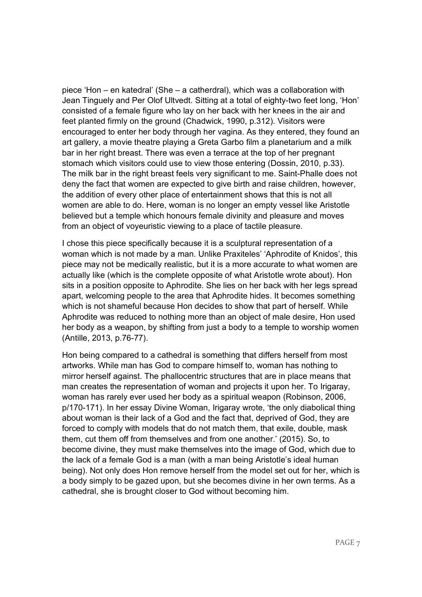piece 'Hon – en katedral' (She – a catherdral), which was a collaboration with Jean Tinguely and Per Olof Ultvedt. Sitting at a total of eighty-two feet long, 'Hon' consisted of a female figure who lay on her back with her knees in the air and feet planted firmly on the ground (Chadwick, 1990, p.312). Visitors were encouraged to enter her body through her vagina. As they entered, they found an art gallery, a movie theatre playing a Greta Garbo film a planetarium and a milk bar in her right breast. There was even a terrace at the top of her pregnant stomach which visitors could use to view those entering (Dossin, 2010, p.33). The milk bar in the right breast feels very significant to me. Saint-Phalle does not deny the fact that women are expected to give birth and raise children, however, the addition of every other place of entertainment shows that this is not all women are able to do. Here, woman is no longer an empty vessel like Aristotle believed but a temple which honours female divinity and pleasure and moves from an object of voyeuristic viewing to a place of tactile pleasure.

I chose this piece specifically because it is a sculptural representation of a woman which is not made by a man. Unlike Praxiteles' 'Aphrodite of Knidos', this piece may not be medically realistic, but it is a more accurate to what women are actually like (which is the complete opposite of what Aristotle wrote about). Hon sits in a position opposite to Aphrodite. She lies on her back with her legs spread apart, welcoming people to the area that Aphrodite hides. It becomes something which is not shameful because Hon decides to show that part of herself. While Aphrodite was reduced to nothing more than an object of male desire, Hon used her body as a weapon, by shifting from just a body to a temple to worship women (Antille, 2013, p.76-77).

Hon being compared to a cathedral is something that differs herself from most artworks. While man has God to compare himself to, woman has nothing to mirror herself against. The phallocentric structures that are in place means that man creates the representation of woman and projects it upon her. To Irigaray, woman has rarely ever used her body as a spiritual weapon (Robinson, 2006, p/170-171). In her essay Divine Woman, Irigaray wrote, 'the only diabolical thing about woman is their lack of a God and the fact that, deprived of God, they are forced to comply with models that do not match them, that exile, double, mask them, cut them off from themselves and from one another.' (2015). So, to become divine, they must make themselves into the image of God, which due to the lack of a female God is a man (with a man being Aristotle's ideal human being). Not only does Hon remove herself from the model set out for her, which is a body simply to be gazed upon, but she becomes divine in her own terms. As a cathedral, she is brought closer to God without becoming him.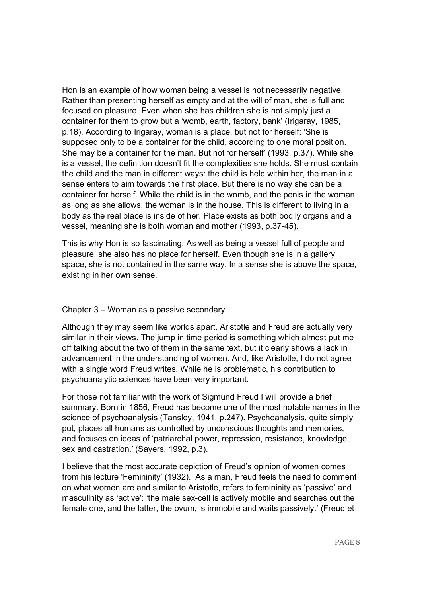Hon is an example of how woman being a vessel is not necessarily negative. Rather than presenting herself as empty and at the will of man, she is full and focused on pleasure. Even when she has children she is not simply just a container for them to grow but a 'womb, earth, factory, bank' (Irigaray, 1985, p.18). According to Irigaray, woman is a place, but not for herself: 'She is supposed only to be a container for the child, according to one moral position. She may be a container for the man. But not for herself' (1993, p.37). While she is a vessel, the definition doesn't fit the complexities she holds. She must contain the child and the man in different ways: the child is held within her, the man in a sense enters to aim towards the first place. But there is no way she can be a container for herself. While the child is in the womb, and the penis in the woman as long as she allows, the woman is in the house. This is different to living in a body as the real place is inside of her. Place exists as both bodily organs and a vessel, meaning she is both woman and mother (1993, p.37-45).

This is why Hon is so fascinating. As well as being a vessel full of people and pleasure, she also has no place for herself. Even though she is in a gallery space, she is not contained in the same way. In a sense she is above the space, existing in her own sense.

#### Chapter 3 – Woman as a passive secondary

Although they may seem like worlds apart, Aristotle and Freud are actually very similar in their views. The jump in time period is something which almost put me off talking about the two of them in the same text, but it clearly shows a lack in advancement in the understanding of women. And, like Aristotle, I do not agree with a single word Freud writes. While he is problematic, his contribution to psychoanalytic sciences have been very important.

For those not familiar with the work of Sigmund Freud I will provide a brief summary. Born in 1856, Freud has become one of the most notable names in the science of psychoanalysis (Tansley, 1941, p.247). Psychoanalysis, quite simply put, places all humans as controlled by unconscious thoughts and memories, and focuses on ideas of 'patriarchal power, repression, resistance, knowledge, sex and castration.' (Sayers, 1992, p.3).

I believe that the most accurate depiction of Freud's opinion of women comes from his lecture 'Femininity' (1932). As a man, Freud feels the need to comment on what women are and similar to Aristotle, refers to femininity as 'passive' and masculinity as 'active': 'the male sex-cell is actively mobile and searches out the female one, and the latter, the ovum, is immobile and waits passively.' (Freud et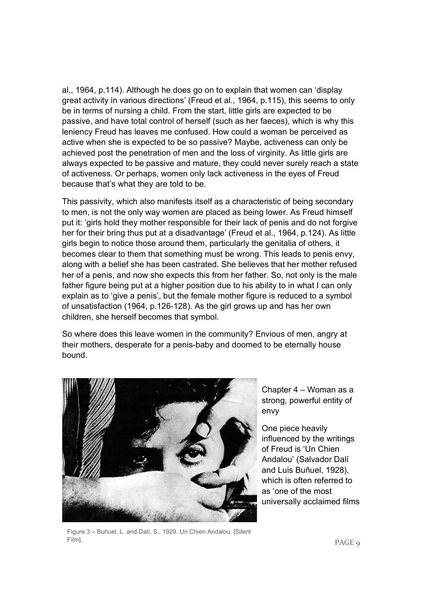al., 1964, p.114). Although he does go on to explain that women can 'display great activity in various directions' (Freud et al., 1964, p.115), this seems to only be in terms of nursing a child. From the start, little girls are expected to be passive, and have total control of herself (such as her faeces), which is why this leniency Freud has leaves me confused. How could a woman be perceived as active when she is expected to be so passive? Maybe, activeness can only be achieved post the penetration of men and the loss of virginity. As little girls are always expected to be passive and mature, they could never surely reach a state of activeness. Or perhaps, women only lack activeness in the eyes of Freud because that's what they are told to be.

This passivity, which also manifests itself as a characteristic of being secondary to men, is not the only way women are placed as being lower. As Freud himself put it: 'girls hold they mother responsible for their lack of penis and do not forgive her for their bring thus put at a disadvantage' (Freud et al., 1964, p.124). As little girls begin to notice those around them, particularly the genitalia of others, it becomes clear to them that something must be wrong. This leads to penis envy, along with a belief she has been castrated. She believes that her mother refused her of a penis, and now she expects this from her father. So, not only is the male father figure being put at a higher position due to his ability to in what I can only explain as to 'give a penis', but the female mother figure is reduced to a symbol of unsatisfaction (1964, p.126-128). As the girl grows up and has her own children, she herself becomes that symbol.

So where does this leave women in the community? Envious of men, angry at their mothers, desperate for a penis-baby and doomed to be eternally house bound.



Chapter 4 – Woman as a strong, powerful entity of envy

One piece heavily influenced by the writings of Freud is 'Un Chien Andalou' (Salvador Dalí and Luis Buñuel, 1928), which is often referred to as 'one of the most universally acclaimed films

Figure 3 – Buñuel, L. and Dalí, S., 1929. Un Chien Andalou. [Silent Film].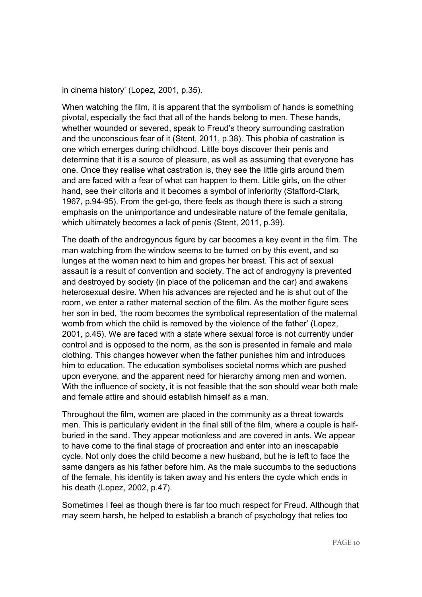```
in cinema history' (Lopez, 2001, p.35).
```
When watching the film, it is apparent that the symbolism of hands is something pivotal, especially the fact that all of the hands belong to men. These hands, whether wounded or severed, speak to Freud's theory surrounding castration and the unconscious fear of it (Stent, 2011, p.38). This phobia of castration is one which emerges during childhood. Little boys discover their penis and determine that it is a source of pleasure, as well as assuming that everyone has one. Once they realise what castration is, they see the little girls around them and are faced with a fear of what can happen to them. Little girls, on the other hand, see their clitoris and it becomes a symbol of inferiority (Stafford-Clark, 1967, p.94-95). From the get-go, there feels as though there is such a strong emphasis on the unimportance and undesirable nature of the female genitalia, which ultimately becomes a lack of penis (Stent, 2011, p.39).

The death of the androgynous figure by car becomes a key event in the film. The man watching from the window seems to be turned on by this event, and so lunges at the woman next to him and gropes her breast. This act of sexual assault is a result of convention and society. The act of androgyny is prevented and destroyed by society (in place of the policeman and the car) and awakens heterosexual desire. When his advances are rejected and he is shut out of the room, we enter a rather maternal section of the film. As the mother figure sees her son in bed, 'the room becomes the symbolical representation of the maternal womb from which the child is removed by the violence of the father' (Lopez, 2001, p.45). We are faced with a state where sexual force is not currently under control and is opposed to the norm, as the son is presented in female and male clothing. This changes however when the father punishes him and introduces him to education. The education symbolises societal norms which are pushed upon everyone, and the apparent need for hierarchy among men and women. With the influence of society, it is not feasible that the son should wear both male and female attire and should establish himself as a man.

Throughout the film, women are placed in the community as a threat towards men. This is particularly evident in the final still of the film, where a couple is halfburied in the sand. They appear motionless and are covered in ants. We appear to have come to the final stage of procreation and enter into an inescapable cycle. Not only does the child become a new husband, but he is left to face the same dangers as his father before him. As the male succumbs to the seductions of the female, his identity is taken away and his enters the cycle which ends in his death (Lopez, 2002, p.47).

Sometimes I feel as though there is far too much respect for Freud. Although that may seem harsh, he helped to establish a branch of psychology that relies too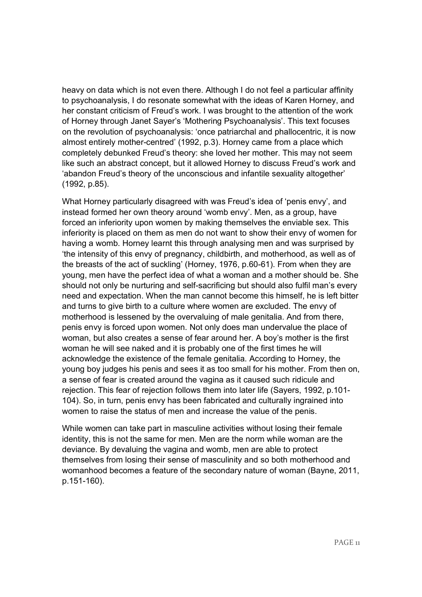heavy on data which is not even there. Although I do not feel a particular affinity to psychoanalysis, I do resonate somewhat with the ideas of Karen Horney, and her constant criticism of Freud's work. I was brought to the attention of the work of Horney through Janet Sayer's 'Mothering Psychoanalysis'. This text focuses on the revolution of psychoanalysis: 'once patriarchal and phallocentric, it is now almost entirely mother-centred' (1992, p.3). Horney came from a place which completely debunked Freud's theory: she loved her mother. This may not seem like such an abstract concept, but it allowed Horney to discuss Freud's work and 'abandon Freud's theory of the unconscious and infantile sexuality altogether' (1992, p.85).

What Horney particularly disagreed with was Freud's idea of 'penis envy', and instead formed her own theory around 'womb envy'. Men, as a group, have forced an inferiority upon women by making themselves the enviable sex. This inferiority is placed on them as men do not want to show their envy of women for having a womb. Horney learnt this through analysing men and was surprised by 'the intensity of this envy of pregnancy, childbirth, and motherhood, as well as of the breasts of the act of suckling' (Horney, 1976, p.60-61). From when they are young, men have the perfect idea of what a woman and a mother should be. She should not only be nurturing and self-sacrificing but should also fulfil man's every need and expectation. When the man cannot become this himself, he is left bitter and turns to give birth to a culture where women are excluded. The envy of motherhood is lessened by the overvaluing of male genitalia. And from there, penis envy is forced upon women. Not only does man undervalue the place of woman, but also creates a sense of fear around her. A boy's mother is the first woman he will see naked and it is probably one of the first times he will acknowledge the existence of the female genitalia. According to Horney, the young boy judges his penis and sees it as too small for his mother. From then on, a sense of fear is created around the vagina as it caused such ridicule and rejection. This fear of rejection follows them into later life (Sayers, 1992, p.101- 104). So, in turn, penis envy has been fabricated and culturally ingrained into women to raise the status of men and increase the value of the penis.

While women can take part in masculine activities without losing their female identity, this is not the same for men. Men are the norm while woman are the deviance. By devaluing the vagina and womb, men are able to protect themselves from losing their sense of masculinity and so both motherhood and womanhood becomes a feature of the secondary nature of woman (Bayne, 2011, p.151-160).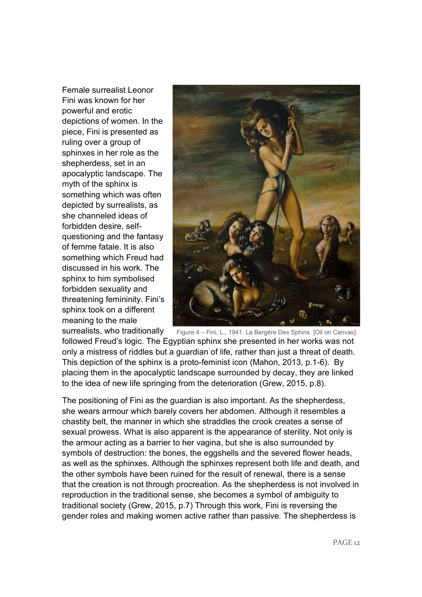Female surrealist Leonor Fini was known for her powerful and erotic depictions of women. In the piece, Fini is presented as ruling over a group of sphinxes in her role as the shepherdess, set in an apocalyptic landscape. The myth of the sphinx is something which was often depicted by surrealists, as she channeled ideas of forbidden desire, selfquestioning and the fantasy of femme fatale. It is also something which Freud had discussed in his work. The sphinx to him symbolised forbidden sexuality and threatening femininity. Fini's sphinx took on a different meaning to the male



surrealists, who traditionally followed Freud's logic. The Egyptian sphinx she presented in her works was not only a mistress of riddles but a guardian of life, rather than just a threat of death. This depiction of the sphinx is a proto-feminist icon (Mahon, 2013, p.1-6). By placing them in the apocalyptic landscape surrounded by decay, they are linked to the idea of new life springing from the deterioration (Grew, 2015, p.8). Figure 4 – Fini, L., 1941. La Bergère Des Sphinx. [Oil on Canvas].

The positioning of Fini as the guardian is also important. As the shepherdess, she wears armour which barely covers her abdomen. Although it resembles a chastity belt, the manner in which she straddles the crook creates a sense of sexual prowess. What is also apparent is the appearance of sterility. Not only is the armour acting as a barrier to her vagina, but she is also surrounded by symbols of destruction: the bones, the eggshells and the severed flower heads, as well as the sphinxes. Although the sphinxes represent both life and death, and the other symbols have been ruined for the result of renewal, there is a sense that the creation is not through procreation. As the shepherdess is not involved in reproduction in the traditional sense, she becomes a symbol of ambiguity to traditional society (Grew, 2015, p.7) Through this work, Fini is reversing the gender roles and making women active rather than passive. The shepherdess is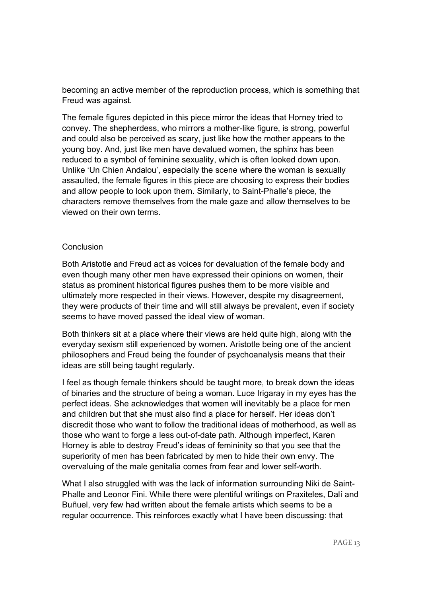becoming an active member of the reproduction process, which is something that Freud was against.

The female figures depicted in this piece mirror the ideas that Horney tried to convey. The shepherdess, who mirrors a mother-like figure, is strong, powerful and could also be perceived as scary, just like how the mother appears to the young boy. And, just like men have devalued women, the sphinx has been reduced to a symbol of feminine sexuality, which is often looked down upon. Unlike 'Un Chien Andalou', especially the scene where the woman is sexually assaulted, the female figures in this piece are choosing to express their bodies and allow people to look upon them. Similarly, to Saint-Phalle's piece, the characters remove themselves from the male gaze and allow themselves to be viewed on their own terms.

## **Conclusion**

Both Aristotle and Freud act as voices for devaluation of the female body and even though many other men have expressed their opinions on women, their status as prominent historical figures pushes them to be more visible and ultimately more respected in their views. However, despite my disagreement, they were products of their time and will still always be prevalent, even if society seems to have moved passed the ideal view of woman.

Both thinkers sit at a place where their views are held quite high, along with the everyday sexism still experienced by women. Aristotle being one of the ancient philosophers and Freud being the founder of psychoanalysis means that their ideas are still being taught regularly.

I feel as though female thinkers should be taught more, to break down the ideas of binaries and the structure of being a woman. Luce Irigaray in my eyes has the perfect ideas. She acknowledges that women will inevitably be a place for men and children but that she must also find a place for herself. Her ideas don't discredit those who want to follow the traditional ideas of motherhood, as well as those who want to forge a less out-of-date path. Although imperfect, Karen Horney is able to destroy Freud's ideas of femininity so that you see that the superiority of men has been fabricated by men to hide their own envy. The overvaluing of the male genitalia comes from fear and lower self-worth.

What I also struggled with was the lack of information surrounding Niki de Saint-Phalle and Leonor Fini. While there were plentiful writings on Praxiteles, Dalí and Buñuel, very few had written about the female artists which seems to be a regular occurrence. This reinforces exactly what I have been discussing: that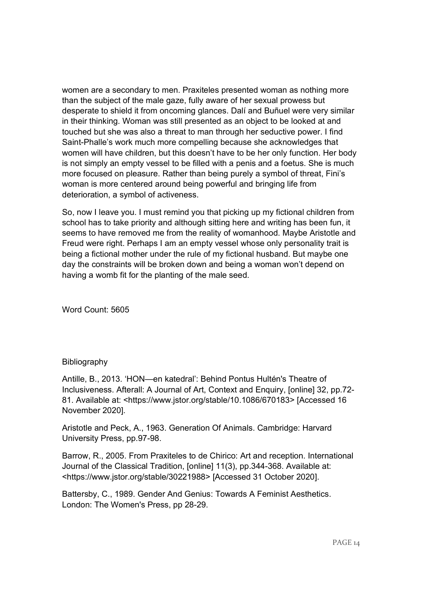women are a secondary to men. Praxiteles presented woman as nothing more than the subject of the male gaze, fully aware of her sexual prowess but desperate to shield it from oncoming glances. Dalí and Buñuel were very similar in their thinking. Woman was still presented as an object to be looked at and touched but she was also a threat to man through her seductive power. I find Saint-Phalle's work much more compelling because she acknowledges that women will have children, but this doesn't have to be her only function. Her body is not simply an empty vessel to be filled with a penis and a foetus. She is much more focused on pleasure. Rather than being purely a symbol of threat, Fini's woman is more centered around being powerful and bringing life from deterioration, a symbol of activeness.

So, now I leave you. I must remind you that picking up my fictional children from school has to take priority and although sitting here and writing has been fun, it seems to have removed me from the reality of womanhood. Maybe Aristotle and Freud were right. Perhaps I am an empty vessel whose only personality trait is being a fictional mother under the rule of my fictional husband. But maybe one day the constraints will be broken down and being a woman won't depend on having a womb fit for the planting of the male seed.

Word Count: 5605

# Bibliography

Antille, B., 2013. 'HON—en katedral': Behind Pontus Hultén's Theatre of Inclusiveness. Afterall: A Journal of Art, Context and Enquiry, [online] 32, pp.72- 81. Available at: <https://www.jstor.org/stable/10.1086/670183> [Accessed 16 November 2020].

Aristotle and Peck, A., 1963. Generation Of Animals. Cambridge: Harvard University Press, pp.97-98.

Barrow, R., 2005. From Praxiteles to de Chirico: Art and reception. International Journal of the Classical Tradition, [online] 11(3), pp.344-368. Available at: <https://www.jstor.org/stable/30221988> [Accessed 31 October 2020].

Battersby, C., 1989. Gender And Genius: Towards A Feminist Aesthetics. London: The Women's Press, pp 28-29.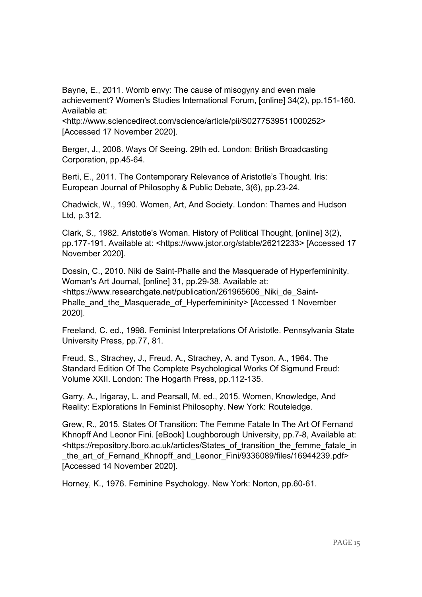Bayne, E., 2011. Womb envy: The cause of misogyny and even male achievement? Women's Studies International Forum, [online] 34(2), pp.151-160. Available at:

<http://www.sciencedirect.com/science/article/pii/S0277539511000252> [Accessed 17 November 2020].

Berger, J., 2008. Ways Of Seeing. 29th ed. London: British Broadcasting Corporation, pp.45-64.

Berti, E., 2011. The Contemporary Relevance of Aristotle's Thought. Iris: European Journal of Philosophy & Public Debate, 3(6), pp.23-24.

Chadwick, W., 1990. Women, Art, And Society. London: Thames and Hudson Ltd, p.312.

Clark, S., 1982. Aristotle's Woman. History of Political Thought, [online] 3(2), pp.177-191. Available at: <https://www.jstor.org/stable/26212233> [Accessed 17 November 2020].

Dossin, C., 2010. Niki de Saint-Phalle and the Masquerade of Hyperfemininity. Woman's Art Journal, [online] 31, pp.29-38. Available at: <https://www.researchgate.net/publication/261965606\_Niki\_de\_Saint-Phalle and the Masquerade of Hyperfemininity> [Accessed 1 November 2020].

Freeland, C. ed., 1998. Feminist Interpretations Of Aristotle. Pennsylvania State University Press, pp.77, 81.

Freud, S., Strachey, J., Freud, A., Strachey, A. and Tyson, A., 1964. The Standard Edition Of The Complete Psychological Works Of Sigmund Freud: Volume XXII. London: The Hogarth Press, pp.112-135.

Garry, A., Irigaray, L. and Pearsall, M. ed., 2015. Women, Knowledge, And Reality: Explorations In Feminist Philosophy. New York: Routeledge.

Grew, R., 2015. States Of Transition: The Femme Fatale In The Art Of Fernand Khnopff And Leonor Fini. [eBook] Loughborough University, pp.7-8, Available at: <https://repository.lboro.ac.uk/articles/States\_of\_transition\_the\_femme\_fatale\_in the art of Fernand Khnopff and Leonor Fini/9336089/files/16944239.pdf> [Accessed 14 November 2020].

Horney, K., 1976. Feminine Psychology. New York: Norton, pp.60-61.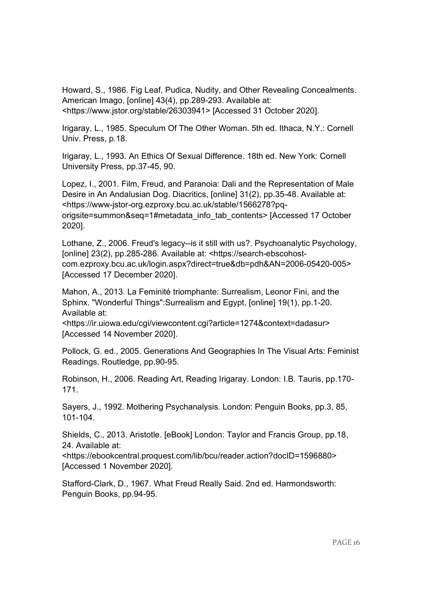Howard, S., 1986. Fig Leaf, Pudica, Nudity, and Other Revealing Concealments. American Imago, [online] 43(4), pp.289-293. Available at: <https://www.jstor.org/stable/26303941> [Accessed 31 October 2020].

Irigaray, L., 1985. Speculum Of The Other Woman. 5th ed. Ithaca, N.Y.: Cornell Univ. Press, p.18.

Irigaray, L., 1993. An Ethics Of Sexual Difference. 18th ed. New York: Cornell University Press, pp.37-45, 90.

Lopez, I., 2001. Film, Freud, and Paranoia: Dali and the Representation of Male Desire in An Andalusian Dog. Diacritics, [online] 31(2), pp.35-48. Available at: <https://www-jstor-org.ezproxy.bcu.ac.uk/stable/1566278?pqorigsite=summon&seq=1#metadata\_info\_tab\_contents> [Accessed 17 October 2020].

Lothane, Z., 2006. Freud's legacy--is it still with us?. Psychoanalytic Psychology, [online] 23(2), pp.285-286. Available at: <https://search-ebscohostcom.ezproxy.bcu.ac.uk/login.aspx?direct=true&db=pdh&AN=2006-05420-005> [Accessed 17 December 2020].

Mahon, A., 2013. La Feminité triomphante: Surrealism, Leonor Fini, and the Sphinx. "Wonderful Things":Surrealism and Egypt, [online] 19(1), pp.1-20. Available at:

<https://ir.uiowa.edu/cgi/viewcontent.cgi?article=1274&context=dadasur> [Accessed 14 November 2020].

Pollock, G. ed., 2005. Generations And Geographies In The Visual Arts: Feminist Readings. Routledge, pp.90-95.

Robinson, H., 2006. Reading Art, Reading Irigaray. London: I.B. Tauris, pp.170- 171.

Sayers, J., 1992. Mothering Psychanalysis. London: Penguin Books, pp.3, 85, 101-104.

Shields, C., 2013. Aristotle. [eBook] London: Taylor and Francis Group, pp.18, 24. Available at:

<https://ebookcentral.proquest.com/lib/bcu/reader.action?docID=1596880> [Accessed 1 November 2020].

Stafford-Clark, D., 1967. What Freud Really Said. 2nd ed. Harmondsworth: Penguin Books, pp.94-95.